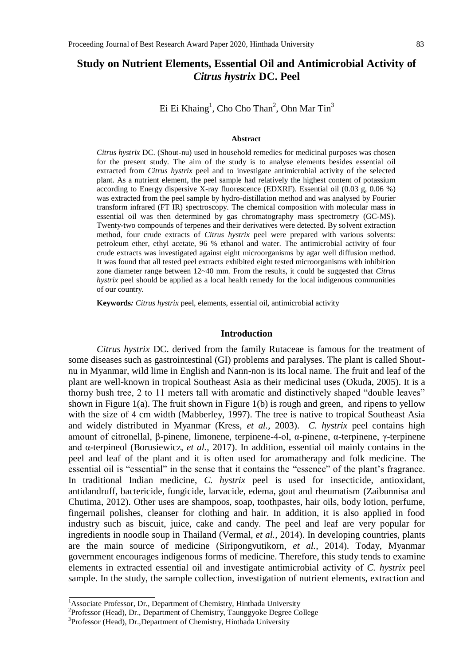# **Study on Nutrient Elements, Essential Oil and Antimicrobial Activity of**  *Citrus hystrix* **DC. Peel**

Ei Ei Khaing<sup>1</sup>, Cho Cho Than<sup>2</sup>, Ohn Mar Tin<sup>3</sup>

#### **Abstract**

*Citrus hystrix* DC. (Shout-nu) used in household remedies for medicinal purposes was chosen for the present study. The aim of the study is to analyse elements besides essential oil extracted from *Citrus hystrix* peel and to investigate antimicrobial activity of the selected plant. As a nutrient element, the peel sample had relatively the highest content of potassium according to Energy dispersive X-ray fluorescence (EDXRF). Essential oil (0.03 g, 0.06 %) was extracted from the peel sample by hydro-distillation method and was analysed by Fourier transform infrared (FT IR) spectroscopy. The chemical composition with molecular mass in essential oil was then determined by gas chromatography mass spectrometry (GC-MS). Twenty-two compounds of terpenes and their derivatives were detected. By solvent extraction method, four crude extracts of *Citrus hystrix* peel were prepared with various solvents: petroleum ether, ethyl acetate, 96 % ethanol and water. The antimicrobial activity of four crude extracts was investigated against eight microorganisms by agar well diffusion method. It was found that all tested peel extracts exhibited eight tested microorganisms with inhibition zone diameter range between 12~40 mm. From the results, it could be suggested that *Citrus hystrix* peel should be applied as a local health remedy for the local indigenous communities of our country.

**Keywords***: Citrus hystrix* peel, elements, essential oil, antimicrobial activity

#### **Introduction**

*Citrus hystrix* DC. derived from the family Rutaceae is famous for the treatment of some diseases such as gastrointestinal (GI) problems and paralyses. The plant is called Shoutnu in Myanmar, wild lime in English and Nann-non is its local name. The fruit and leaf of the plant are well-known in tropical Southeast Asia as their medicinal uses (Okuda, 2005). It is a thorny bush tree, 2 to 11 meters tall with aromatic and distinctively shaped "double leaves" shown in Figure 1(a). The fruit shown in Figure 1(b) is rough and green, and ripens to yellow with the size of 4 cm width (Mabberley, 1997). The tree is native to tropical Southeast Asia and widely distributed in Myanmar (Kress, *et al.,* 2003). *C. hystrix* peel contains high amount of citronellal, β-pinene, limonene, terpinene-4-ol, α-pinene, α-terpinene, γ-terpinene and α-terpineol (Borusiewicz, *et al.,* 2017). In addition, essential oil mainly contains in the peel and leaf of the plant and it is often used for aromatherapy and folk medicine. The essential oil is "essential" in the sense that it contains the "essence" of the plant's fragrance. In traditional Indian medicine, *C. hystrix* peel is used for insecticide, antioxidant, antidandruff, bactericide, fungicide, larvacide, edema, gout and rheumatism (Zaibunnisa and Chutima, 2012). Other uses are shampoos, soap, toothpastes, hair oils, body lotion, perfume, fingernail polishes, cleanser for clothing and hair. In addition, it is also applied in food industry such as biscuit, juice, cake and candy. The peel and leaf are very popular for ingredients in noodle soup in Thailand (Vermal, *et al.,* 2014). In developing countries, plants are the main source of medicine (Siripongvutikorn, *et al.,* 2014). Today, Myanmar government encourages indigenous forms of medicine. Therefore, this study tends to examine elements in extracted essential oil and investigate antimicrobial activity of *C. hystrix* peel sample. In the study, the sample collection, investigation of nutrient elements, extraction and

<sup>&</sup>lt;sup>1</sup> Associate Professor, Dr., Department of Chemistry, Hinthada University

<sup>&</sup>lt;sup>2</sup>Professor (Head), Dr., Department of Chemistry, Taunggyoke Degree College

<sup>&</sup>lt;sup>3</sup>Professor (Head), Dr., Department of Chemistry, Hinthada University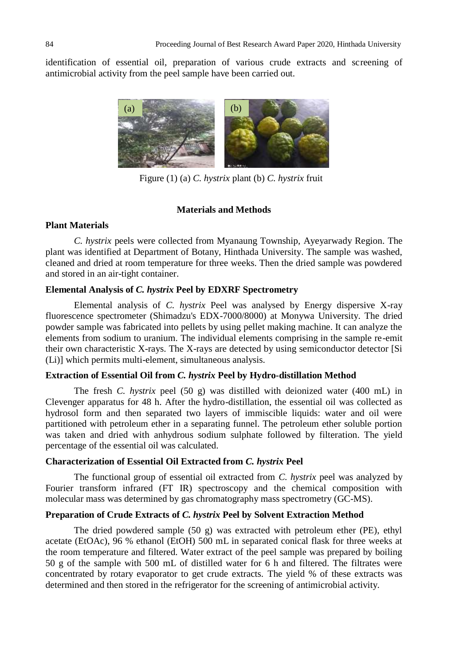identification of essential oil, preparation of various crude extracts and screening of antimicrobial activity from the peel sample have been carried out.



Figure (1) (a) *C. hystrix* plant (b) *C. hystrix* fruit

#### **Materials and Methods**

#### **Plant Materials**

*C. hystrix* peels were collected from Myanaung Township, Ayeyarwady Region. The plant was identified at Department of Botany, Hinthada University. The sample was washed, cleaned and dried at room temperature for three weeks. Then the dried sample was powdered and stored in an air-tight container.

## **Elemental Analysis of** *C. hystrix* **Peel by EDXRF Spectrometry**

Elemental analysis of *C. hystrix* Peel was analysed by Energy dispersive X-ray fluorescence spectrometer (Shimadzu's EDX-7000/8000) at Monywa University. The dried powder sample was fabricated into pellets by using pellet making machine. It can analyze the elements from sodium to uranium. The individual elements comprising in the sample re-emit their own characteristic X-rays. The X-rays are detected by using semiconductor detector [Si (Li)] which permits multi-element, simultaneous analysis.

#### **Extraction of Essential Oil from** *C. hystrix* **Peel by Hydro-distillation Method**

The fresh *C. hystrix* peel (50 g) was distilled with deionized water (400 mL) in Clevenger apparatus for 48 h. After the hydro-distillation, the essential oil was collected as hydrosol form and then separated two layers of immiscible liquids: water and oil were partitioned with petroleum ether in a separating funnel. The petroleum ether soluble portion was taken and dried with anhydrous sodium sulphate followed by filteration. The yield percentage of the essential oil was calculated.

#### **Characterization of Essential Oil Extracted from** *C. hystrix* **Peel**

The functional group of essential oil extracted from *C. hystrix* peel was analyzed by Fourier transform infrared (FT IR) spectroscopy and the chemical composition with molecular mass was determined by gas chromatography mass spectrometry (GC-MS).

### **Preparation of Crude Extracts of** *C. hystrix* **Peel by Solvent Extraction Method**

The dried powdered sample (50 g) was extracted with petroleum ether (PE), ethyl acetate (EtOAc), 96 % ethanol (EtOH) 500 mL in separated conical flask for three weeks at the room temperature and filtered. Water extract of the peel sample was prepared by boiling 50 g of the sample with 500 mL of distilled water for 6 h and filtered. The filtrates were concentrated by rotary evaporator to get crude extracts. The yield % of these extracts was determined and then stored in the refrigerator for the screening of antimicrobial activity.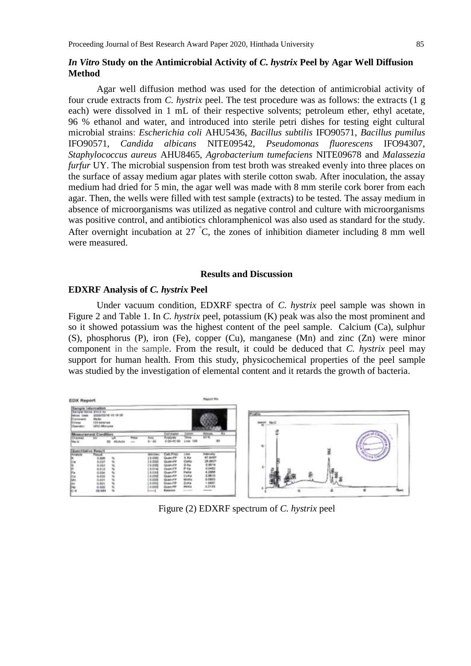#### *In Vitro* **Study on the Antimicrobial Activity of** *C. hystrix* **Peel by Agar Well Diffusion Method**

Agar well diffusion method was used for the detection of antimicrobial activity of four crude extracts from *C. hystrix* peel. The test procedure was as follows: the extracts (1 g each) were dissolved in 1 mL of their respective solvents; petroleum ether, ethyl acetate, 96 % ethanol and water, and introduced into sterile petri dishes for testing eight cultural microbial strains: *Escherichia coli* AHU5436, *Bacillus subtilis* IFO90571, *Bacillus pumilus*  IFO90571, *Candida albicans* NITE09542, *Pseudomonas fluorescens* IFO94307, *Staphylococcus aureus* AHU8465, *Agrobacterium tumefaciens* NITE09678 and *Malassezia furfur* UY. The microbial suspension from test broth was streaked evenly into three places on the surface of assay medium agar plates with sterile cotton swab. After inoculation, the assay medium had dried for 5 min, the agar well was made with 8 mm sterile cork borer from each agar. Then, the wells were filled with test sample (extracts) to be tested. The assay medium in absence of microorganisms was utilized as negative control and culture with microorganisms was positive control, and antibiotics chloramphenicol was also used as standard for the study. After overnight incubation at 27  $\degree$ C, the zones of inhibition diameter including 8 mm well were measured.

#### **Results and Discussion**

#### **EDXRF Analysis of** *C. hystrix* **Peel**

Under vacuum condition, EDXRF spectra of *C. hystrix* peel sample was shown in Figure 2 and Table 1. In *C. hystrix* peel, potassium (K) peak was also the most prominent and so it showed potassium was the highest content of the peel sample. Calcium (Ca), sulphur (S), phosphorus (P), iron (Fe), copper (Cu), manganese (Mn) and zinc (Zn) were minor component in the sample. From the result, it could be deduced that *C. hystrix* peel may support for human health. From this study, physicochemical properties of the peel sample was studied by the investigation of elemental content and it retards the growth of bacteria.



Figure (2) EDXRF spectrum of *C. hystrix* peel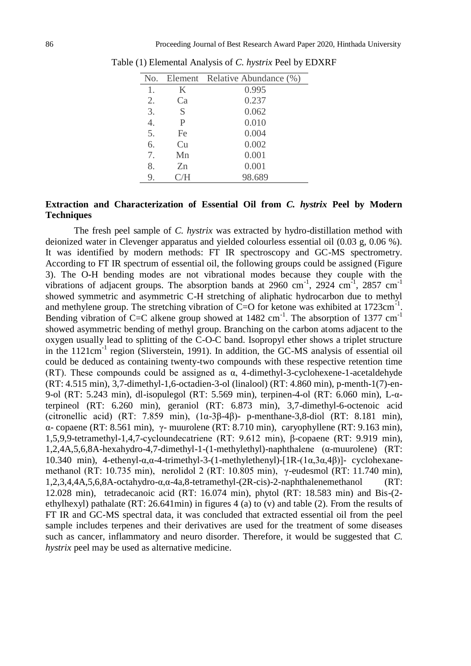| No. |     | Element Relative Abundance (%) |
|-----|-----|--------------------------------|
| 1.  | K   | 0.995                          |
| 2.  | Ca  | 0.237                          |
| 3.  | S   | 0.062                          |
| 4.  | P   | 0.010                          |
| 5.  | Fe  | 0.004                          |
| 6.  | Cu  | 0.002                          |
| 7.  | Mn  | 0.001                          |
| 8.  | Zn  | 0.001                          |
| 9.  | C/H | 98.689                         |

Table (1) Elemental Analysis of *C. hystrix* Peel by EDXRF

### **Extraction and Characterization of Essential Oil from** *C. hystrix* **Peel by Modern Techniques**

The fresh peel sample of *C. hystrix* was extracted by hydro-distillation method with deionized water in Clevenger apparatus and yielded colourless essential oil (0.03 g, 0.06 %). It was identified by modern methods: FT IR spectroscopy and GC-MS spectrometry. According to FT IR spectrum of essential oil, the following groups could be assigned (Figure 3). The O-H bending modes are not vibrational modes because they couple with the vibrations of adjacent groups. The absorption bands at 2960 cm<sup>-1</sup>, 2924 cm<sup>-1</sup>, 2857 cm<sup>-1</sup> showed symmetric and asymmetric C-H stretching of aliphatic hydrocarbon due to methyl and methylene group. The stretching vibration of  $C=O$  for ketone was exhibited at 1723 $cm^{-1}$ . Bending vibration of C=C alkene group showed at  $1482 \text{ cm}^{-1}$ . The absorption of  $1377 \text{ cm}^{-1}$ showed asymmetric bending of methyl group. Branching on the carbon atoms adjacent to the oxygen usually lead to splitting of the C-O-C band. Isopropyl ether shows a triplet structure in the 1121cm<sup>-1</sup> region (Sliverstein, 1991). In addition, the GC-MS analysis of essential oil could be deduced as containing twenty-two compounds with these respective retention time (RT). These compounds could be assigned as  $\alpha$ , 4-dimethyl-3-cyclohexene-1-acetaldehyde (RT: 4.515 min), 3,7-dimethyl-1,6-octadien-3-ol (linalool) (RT: 4.860 min), p-menth-1(7)-en-9-ol (RT: 5.243 min), dl-isopulegol (RT: 5.569 min), terpinen-4-ol (RT: 6.060 min), L-αterpineol (RT: 6.260 min), geraniol (RT: 6.873 min), 3,7-dimethyl-6-octenoic acid (citronellic acid) (RT: 7.859 min),  $(1\alpha - 3\beta - 4\beta)$ - p-menthane-3,8-diol (RT: 8.181 min), α- copaene (RT: 8.561 min), γ- muurolene (RT: 8.710 min), caryophyllene (RT: 9.163 min), 1,5,9,9-tetramethyl-1,4,7-cycloundecatriene (RT: 9.612 min), β-copaene (RT: 9.919 min), 1,2,4A,5,6,8A-hexahydro-4,7-dimethyl-1-(1-methylethyl)-naphthalene (α-muurolene) (RT: 10.340 min), 4-ethenyl-α,α-4-trimethyl-3-(1-methylethenyl)-[1R-(1α,3α,4β)]- cyclohexanemethanol (RT: 10.735 min), nerolidol 2 (RT: 10.805 min), γ-eudesmol (RT: 11.740 min), 1,2,3,4,4A,5,6,8A-octahydro-α,α-4a,8-tetramethyl-(2R-cis)-2-naphthalenemethanol (RT: 12.028 min), tetradecanoic acid (RT: 16.074 min), phytol (RT: 18.583 min) and Bis-(2 ethylhexyl) pathalate (RT: 26.641min) in figures 4 (a) to (v) and table (2). From the results of FT IR and GC-MS spectral data, it was concluded that extracted essential oil from the peel sample includes terpenes and their derivatives are used for the treatment of some diseases such as cancer, inflammatory and neuro disorder. Therefore, it would be suggested that *C. hystrix* peel may be used as alternative medicine.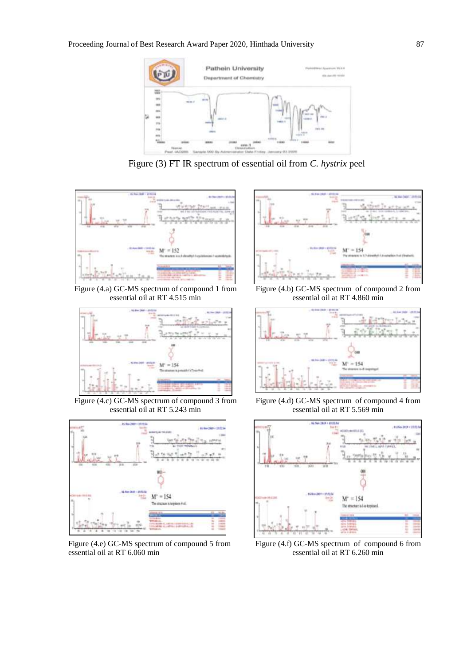

Figure (3) FT IR spectrum of essential oil from *C. hystrix* peel



Figure (4.a) GC-MS spectrum of compound 1 from essential oil at RT 4.515 min



Figure (4.c) GC-MS spectrum of compound 3 from essential oil at RT 5.243 min



Figure (4.e) GC-MS spectrum of compound 5 from essential oil at RT 6.060 min



Figure (4.b) GC-MS spectrum of compound 2 from essential oil at RT 4.860 min



Figure (4.d) GC-MS spectrum of compound 4 from essential oil at RT 5.569 min



Figure (4.f) GC-MS spectrum of compound 6 from essential oil at RT 6.260 min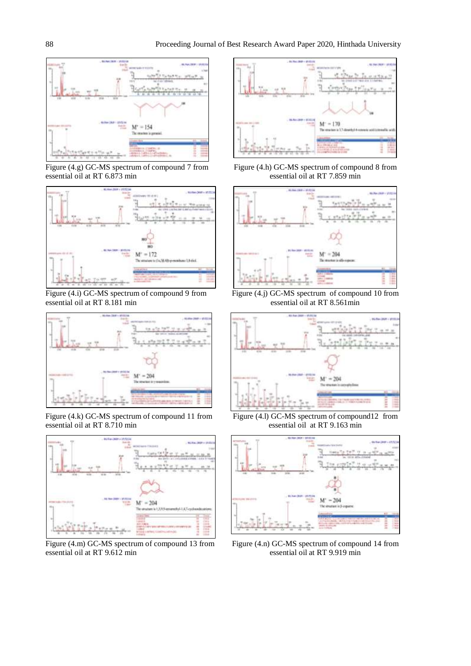

Figure (4.g) GC-MS spectrum of compound 7 from essential oil at RT 6.873 min



Figure (4.i) GC-MS spectrum of compound 9 from essential oil at RT 8.181 min



Figure (4.k) GC-MS spectrum of compound 11 from essential oil at RT 8.710 min



Figure (4.m) GC-MS spectrum of compound 13 from essential oil at RT 9.612 min



Figure (4.h) GC-MS spectrum of compound 8 from essential oil at RT 7.859 min



Figure (4.j) GC-MS spectrum of compound 10 from essential oil at RT 8.561min



Figure (4.l) GC-MS spectrum of compound12 from essential oil at RT 9.163 min



Figure (4.n) GC-MS spectrum of compound 14 from essential oil at RT 9.919 min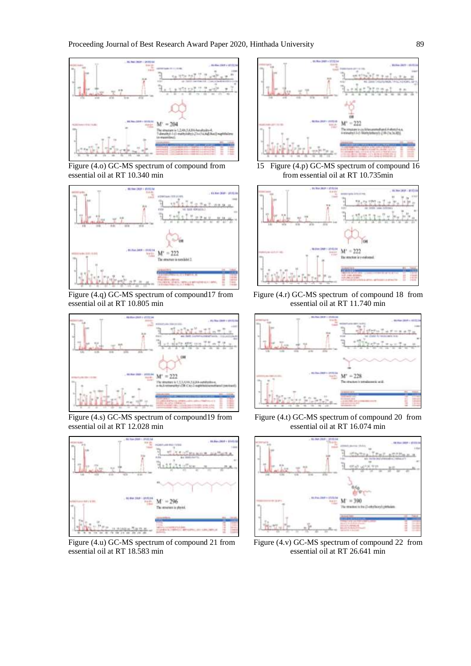

Figure (4.o) GC-MS spectrum of compound from essential oil at RT 10.340 min



Figure (4.q) GC-MS spectrum of compound17 from essential oil at RT 10.805 min



Figure (4.s) GC-MS spectrum of compound19 from essential oil at RT 12.028 min



Figure (4.u) GC-MS spectrum of compound 21 from essential oil at RT 18.583 min



15 Figure (4.p) GC-MS spectrum of compound 16 from essential oil at RT 10.735min



Figure (4.r) GC-MS spectrum of compound 18 from essential oil at RT 11.740 min



Figure (4.t) GC-MS spectrum of compound 20 from essential oil at RT 16.074 min



Figure (4.v) GC-MS spectrum of compound 22 from essential oil at RT 26.641 min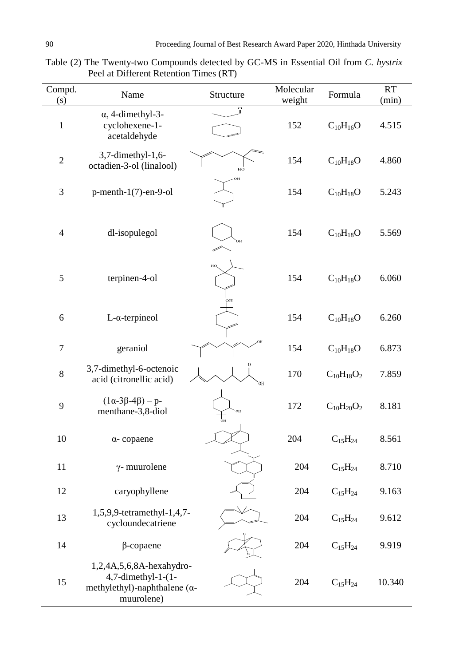| Compd.<br>(s)    | Name                                                                                                        | Structure | Molecular<br>weight | Formula           | RT<br>(min) |
|------------------|-------------------------------------------------------------------------------------------------------------|-----------|---------------------|-------------------|-------------|
| $\mathbf{1}$     | $\alpha$ , 4-dimethyl-3-<br>cyclohexene-1-<br>acetaldehyde                                                  |           | 152                 | $C_{10}H_{16}O$   | 4.515       |
| $\sqrt{2}$       | 3,7-dimethyl-1,6-<br>octadien-3-ol (linalool)                                                               | HO        | 154                 | $C_{10}H_{18}O$   | 4.860       |
| $\mathfrak{Z}$   | $p$ -menth-1(7)-en-9-ol                                                                                     |           | 154                 | $C_{10}H_{18}O$   | 5.243       |
| $\overline{4}$   | dl-isopulegol                                                                                               | OН        | 154                 | $C_{10}H_{18}O$   | 5.569       |
| $\mathfrak s$    | terpinen-4-ol                                                                                               | HO,       | 154                 | $C_{10}H_{18}O$   | 6.060       |
| 6                | $L$ - $\alpha$ -terpineol                                                                                   |           | 154                 | $C_{10}H_{18}O$   | 6.260       |
| $\boldsymbol{7}$ | geraniol                                                                                                    |           | 154                 | $C_{10}H_{18}O$   | 6.873       |
| $8\,$            | 3,7-dimethyl-6-octenoic<br>acid (citronellic acid)                                                          | OH        | 170                 | $C_{10}H_{18}O_2$ | 7.859       |
| 9                | $(1\alpha-3\beta-4\beta) - p$ -<br>menthane-3,8-diol                                                        |           | 172                 | $C_{10}H_{20}O_2$ | 8.181       |
| 10               | $\alpha$ -copaene                                                                                           |           | 204                 | $C_{15}H_{24}$    | 8.561       |
| 11               | $\gamma$ - muurolene                                                                                        |           | 204                 | $C_{15}H_{24}$    | 8.710       |
| 12               | caryophyllene                                                                                               |           | 204                 | $C_{15}H_{24}$    | 9.163       |
| 13               | 1,5,9,9-tetramethyl-1,4,7-<br>cycloundecatriene                                                             |           | 204                 | $C_{15}H_{24}$    | 9.612       |
| 14               | $\beta$ -copaene                                                                                            |           | 204                 | $C_{15}H_{24}$    | 9.919       |
| 15               | 1,2,4A,5,6,8A-hexahydro-<br>$4,7$ -dimethyl-1- $(1-$<br>methylethyl)-naphthalene ( $\alpha$ -<br>muurolene) |           | 204                 | $C_{15}H_{24}$    | 10.340      |

Table (2) The Twenty-two Compounds detected by GC-MS in Essential Oil from *C. hystrix*  Peel at Different Retention Times (RT)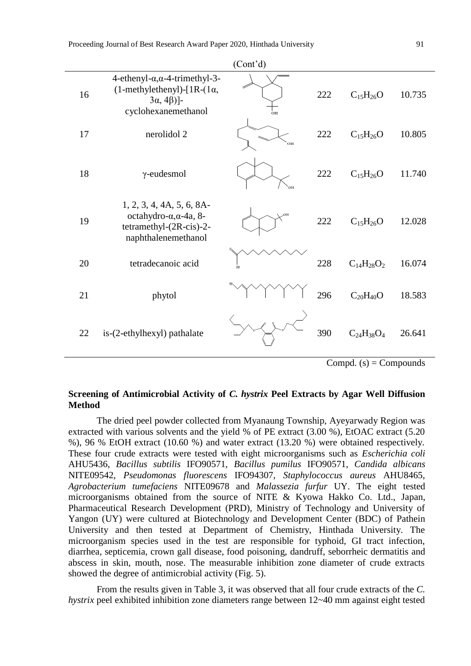|    |                                                                                                                                                | (Cont <sup>2</sup> d) |     |                   |        |
|----|------------------------------------------------------------------------------------------------------------------------------------------------|-----------------------|-----|-------------------|--------|
| 16 | $4$ -ethenyl- $\alpha$ , $\alpha$ -4-trimethyl-3-<br>$(1$ -methylethenyl)- $[1R-(1\alpha,$<br>$3\alpha$ , 4 $\beta$ )]-<br>cyclohexanemethanol | òн                    | 222 | $C_{15}H_{26}O$   | 10.735 |
| 17 | nerolidol 2                                                                                                                                    | OН                    | 222 | $C_{15}H_{26}O$   | 10.805 |
| 18 | $\gamma$ -eudesmol                                                                                                                             |                       | 222 | $C_{15}H_{26}O$   | 11.740 |
| 19 | $1, 2, 3, 4, 4A, 5, 6, 8A-$<br>octahydro- $\alpha$ , $\alpha$ -4a, 8-<br>tetramethyl- $(2R\text{-cis})$ -2-<br>naphthalenemethanol             |                       | 222 | $C_{15}H_{26}O$   | 12.028 |
| 20 | tetradecanoic acid                                                                                                                             | 0H                    | 228 | $C_{14}H_{28}O_2$ | 16.074 |
| 21 | phytol                                                                                                                                         |                       | 296 | $C_{20}H_{40}O$   | 18.583 |
| 22 | is-(2-ethylhexyl) pathalate                                                                                                                    |                       | 390 | $C_{24}H_{38}O_4$ | 26.641 |

 $Compd. (s) = Compounds$ 

### **Screening of Antimicrobial Activity of** *C. hystrix* **Peel Extracts by Agar Well Diffusion Method**

The dried peel powder collected from Myanaung Township, Ayeyarwady Region was extracted with various solvents and the yield % of PE extract (3.00 %), EtOAC extract (5.20 %), 96 % EtOH extract (10.60 %) and water extract (13.20 %) were obtained respectively. These four crude extracts were tested with eight microorganisms such as *Escherichia coli*  AHU5436, *Bacillus subtilis* IFO90571, *Bacillus pumilus* IFO90571, *Candida albicans*  NITE09542, *Pseudomonas fluorescens* IFO94307, *Staphylococcus aureus* AHU8465, *Agrobacterium tumefaciens* NITE09678 and *Malassezia furfur* UY. The eight tested microorganisms obtained from the source of NITE & Kyowa Hakko Co. Ltd., Japan, Pharmaceutical Research Development (PRD), Ministry of Technology and University of Yangon (UY) were cultured at Biotechnology and Development Center (BDC) of Pathein University and then tested at Department of Chemistry, Hinthada University. The microorganism species used in the test are responsible for typhoid, GI tract infection, diarrhea, septicemia, crown gall disease, food poisoning, dandruff, seborrheic dermatitis and abscess in skin, mouth, nose. The measurable inhibition zone diameter of crude extracts showed the degree of antimicrobial activity (Fig. 5).

From the results given in Table 3, it was observed that all four crude extracts of the *C. hystrix* peel exhibited inhibition zone diameters range between 12~40 mm against eight tested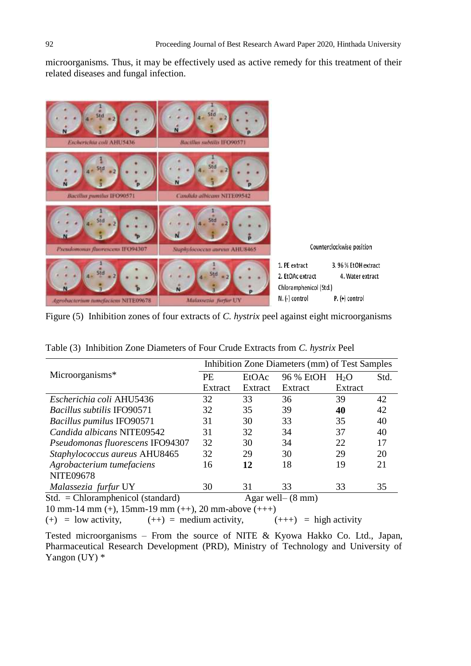microorganisms*.* Thus, it may be effectively used as active remedy for this treatment of their related diseases and fungal infection.



Figure (5) Inhibition zones of four extracts of *C. hystrix* peel against eight microorganisms

| Table (3) Inhibition Zone Diameters of Four Crude Extracts from C. hystrix Peel |  |  |  |  |  |
|---------------------------------------------------------------------------------|--|--|--|--|--|
|                                                                                 |  |  |  |  |  |

|                                     | Inhibition Zone Diameters (mm) of Test Samples |         |                      |                  |      |  |  |
|-------------------------------------|------------------------------------------------|---------|----------------------|------------------|------|--|--|
| Microorganisms*                     | <b>PE</b>                                      | EtOAc   | 96 % EtOH            | H <sub>2</sub> O | Std. |  |  |
|                                     | Extract                                        | Extract | Extract              | Extract          |      |  |  |
| Escherichia coli AHU5436            | 32                                             | 33      | 36                   | 39               | 42   |  |  |
| <b>Bacillus subtilis IFO90571</b>   | 32                                             | 35      | 39                   | 40               | 42   |  |  |
| <b>Bacillus pumilus IFO90571</b>    | 31                                             | 30      | 33                   | 35               | 40   |  |  |
| Candida albicans NITE09542          | 31                                             | 32      | 34                   | 37               | 40   |  |  |
| Pseudomonas fluorescens IFO94307    | 32                                             | 30      | 34                   | 22               | 17   |  |  |
| Staphylococcus aureus AHU8465       | 32                                             | 29      | 30                   | 29               | 20   |  |  |
| Agrobacterium tumefaciens           | 16                                             | 12      | 18                   | 19               | 21   |  |  |
| <b>NITE09678</b>                    |                                                |         |                      |                  |      |  |  |
| Malassezia furfur UY                | 30                                             | 31      | 33                   | 33               | 35   |  |  |
| $Std. = Chloramphenicol (standard)$ |                                                |         | Agar well $-$ (8 mm) |                  |      |  |  |

10 mm-14 mm (+), 15mm-19 mm (++), 20 mm-above (+++)

(+) = low activity,  $(++)$  = medium activity,  $(++)$  = high activity

Tested microorganisms – From the source of NITE & Kyowa Hakko Co. Ltd., Japan, Pharmaceutical Research Development (PRD), Ministry of Technology and University of Yangon (UY)  $*$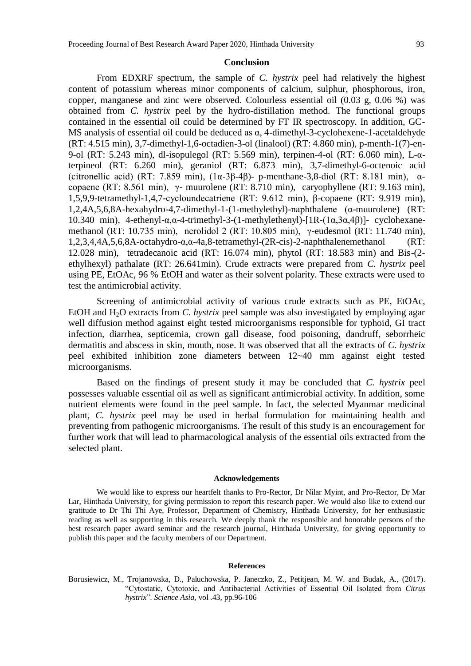#### **Conclusion**

From EDXRF spectrum, the sample of *C. hystrix* peel had relatively the highest content of potassium whereas minor components of calcium, sulphur, phosphorous, iron, copper, manganese and zinc were observed. Colourless essential oil (0.03 g, 0.06 %) was obtained from *C. hystrix* peel by the hydro-distillation method. The functional groups contained in the essential oil could be determined by FT IR spectroscopy. In addition, GC-MS analysis of essential oil could be deduced as α, 4-dimethyl-3-cyclohexene-1-acetaldehyde (RT: 4.515 min), 3,7-dimethyl-1,6-octadien-3-ol (linalool) (RT: 4.860 min), p-menth-1(7)-en-9-ol (RT: 5.243 min), dl-isopulegol (RT: 5.569 min), terpinen-4-ol (RT: 6.060 min), L-αterpineol (RT: 6.260 min), geraniol (RT: 6.873 min), 3,7-dimethyl-6-octenoic acid (citronellic acid) (RT: 7.859 min),  $(1\alpha - 3\beta - 4\beta)$ - p-menthane-3,8-diol (RT: 8.181 min),  $\alpha$ copaene (RT: 8.561 min), γ- muurolene (RT: 8.710 min), caryophyllene (RT: 9.163 min), 1,5,9,9-tetramethyl-1,4,7-cycloundecatriene (RT: 9.612 min), β-copaene (RT: 9.919 min), 1,2,4A,5,6,8A-hexahydro-4,7-dimethyl-1-(1-methylethyl)-naphthalene (α-muurolene) (RT: 10.340 min), 4-ethenyl-α,α-4-trimethyl-3-(1-methylethenyl)-[1R-(1α,3α,4β)]- cyclohexanemethanol (RT: 10.735 min), nerolidol 2 (RT: 10.805 min), γ-eudesmol (RT: 11.740 min),  $1,2,3,4,4A,5,6,8A-octahydro-α,α-4a,8-tetramethyl-(2R-cis)-2-naphthalenemethanol$ 12.028 min), tetradecanoic acid (RT: 16.074 min), phytol (RT: 18.583 min) and Bis-(2 ethylhexyl) pathalate (RT: 26.641min). Crude extracts were prepared from *C. hystrix* peel using PE, EtOAc, 96 % EtOH and water as their solvent polarity. These extracts were used to test the antimicrobial activity.

Screening of antimicrobial activity of various crude extracts such as PE, EtOAc, EtOH and H<sub>2</sub>O extracts from *C. hystrix* peel sample was also investigated by employing agar well diffusion method against eight tested microorganisms responsible for typhoid, GI tract infection, diarrhea, septicemia, crown gall disease, food poisoning, dandruff, seborrheic dermatitis and abscess in skin, mouth, nose. It was observed that all the extracts of *C. hystrix* peel exhibited inhibition zone diameters between 12~40 mm against eight tested microorganisms.

Based on the findings of present study it may be concluded that *C. hystrix* peel possesses valuable essential oil as well as significant antimicrobial activity. In addition, some nutrient elements were found in the peel sample. In fact, the selected Myanmar medicinal plant, *C. hystrix* peel may be used in herbal formulation for maintaining health and preventing from pathogenic microorganisms. The result of this study is an encouragement for further work that will lead to pharmacological analysis of the essential oils extracted from the selected plant.

#### **Acknowledgements**

We would like to express our heartfelt thanks to Pro-Rector, Dr Nilar Myint, and Pro-Rector, Dr Mar Lar, Hinthada University, for giving permission to report this research paper. We would also like to extend our gratitude to Dr Thi Thi Aye, Professor, Department of Chemistry, Hinthada University, for her enthusiastic reading as well as supporting in this research. We deeply thank the responsible and honorable persons of the best research paper award seminar and the research journal, Hinthada University, for giving opportunity to publish this paper and the faculty members of our Department.

#### **References**

Borusiewicz, M., Trojanowska, D., Paluchowska, P. Janeczko, Z., Petitjean, M. W. and Budak, A., (2017). "Cytostatic, Cytotoxic, and Antibacterial Activities of Essential Oil Isolated from *Citrus hystrix*". *Science Asia,* vol .43, pp.96-106